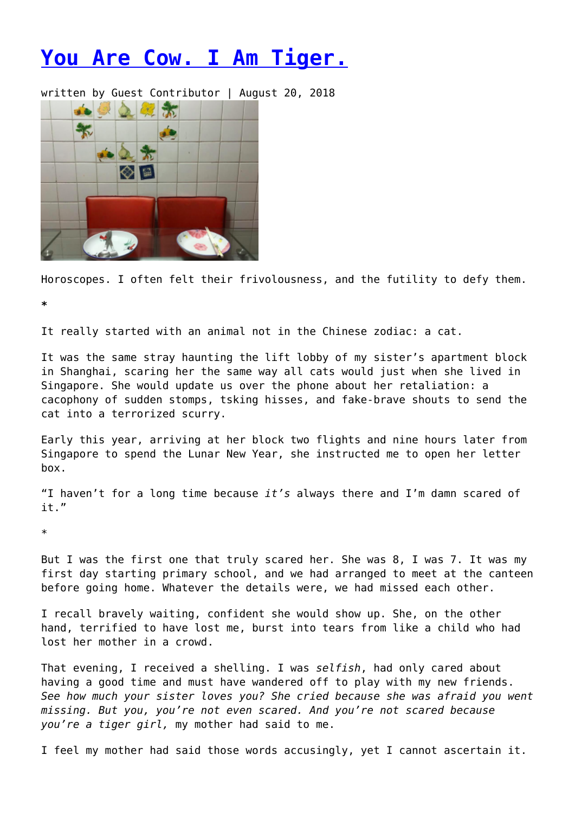## **[You Are Cow. I Am Tiger.](https://entropymag.org/you-are-cow-i-am-tiger/)**

written by Guest Contributor | August 20, 2018



Horoscopes. I often felt their frivolousness, and the futility to defy them.

**\***

It really started with an animal not in the Chinese zodiac: a cat.

It was the same stray haunting the lift lobby of my sister's apartment block in Shanghai, scaring her the same way all cats would just when she lived in Singapore. She would update us over the phone about her retaliation: a cacophony of sudden stomps, tsking hisses, and fake-brave shouts to send the cat into a terrorized scurry.

Early this year, arriving at her block two flights and nine hours later from Singapore to spend the Lunar New Year, she instructed me to open her letter box.

"I haven't for a long time because *it's* always there and I'm damn scared of it."

\*

But I was the first one that truly scared her. She was 8, I was 7. It was my first day starting primary school, and we had arranged to meet at the canteen before going home. Whatever the details were, we had missed each other.

I recall bravely waiting, confident she would show up. She, on the other hand, terrified to have lost me, burst into tears from like a child who had lost her mother in a crowd.

That evening, I received a shelling. I was *selfish*, had only cared about having a good time and must have wandered off to play with my new friends. *See how much your sister loves you? She cried because she was afraid you went missing. But you, you're not even scared. And you're not scared because you're a tiger girl,* my mother had said to me.

I feel my mother had said those words accusingly, yet I cannot ascertain it.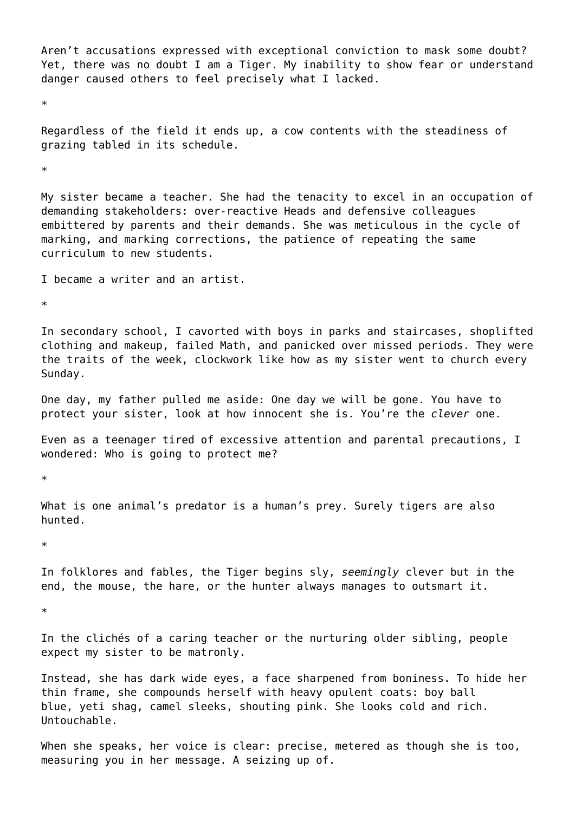Aren't accusations expressed with exceptional conviction to mask some doubt? Yet, there was no doubt I am a Tiger. My inability to show fear or understand danger caused others to feel precisely what I lacked.

\*

Regardless of the field it ends up, a cow contents with the steadiness of grazing tabled in its schedule.

\*

My sister became a teacher. She had the tenacity to excel in an occupation of demanding stakeholders: over-reactive Heads and defensive colleagues embittered by parents and their demands. She was meticulous in the cycle of marking, and marking corrections, the patience of repeating the same curriculum to new students.

I became a writer and an artist.

\*

In secondary school, I cavorted with boys in parks and staircases, shoplifted clothing and makeup, failed Math, and panicked over missed periods. They were the traits of the week, clockwork like how as my sister went to church every Sunday.

One day, my father pulled me aside: One day we will be gone. You have to protect your sister, look at how innocent she is. You're the *clever* one.

Even as a teenager tired of excessive attention and parental precautions, I wondered: Who is going to protect me?

\*

What is one animal's predator is a human's prey. Surely tigers are also hunted.

\*

In folklores and fables, the Tiger begins sly, *seemingly* clever but in the end, the mouse, the hare, or the hunter always manages to outsmart it.

\*

In the clichés of a caring teacher or the nurturing older sibling, people expect my sister to be matronly.

Instead, she has dark wide eyes, a face sharpened from boniness. To hide her thin frame, she compounds herself with heavy opulent coats: boy ball blue, yeti shag, camel sleeks, shouting pink. She looks cold and rich. Untouchable.

When she speaks, her voice is clear: precise, metered as though she is too, measuring you in her message. A seizing up of.